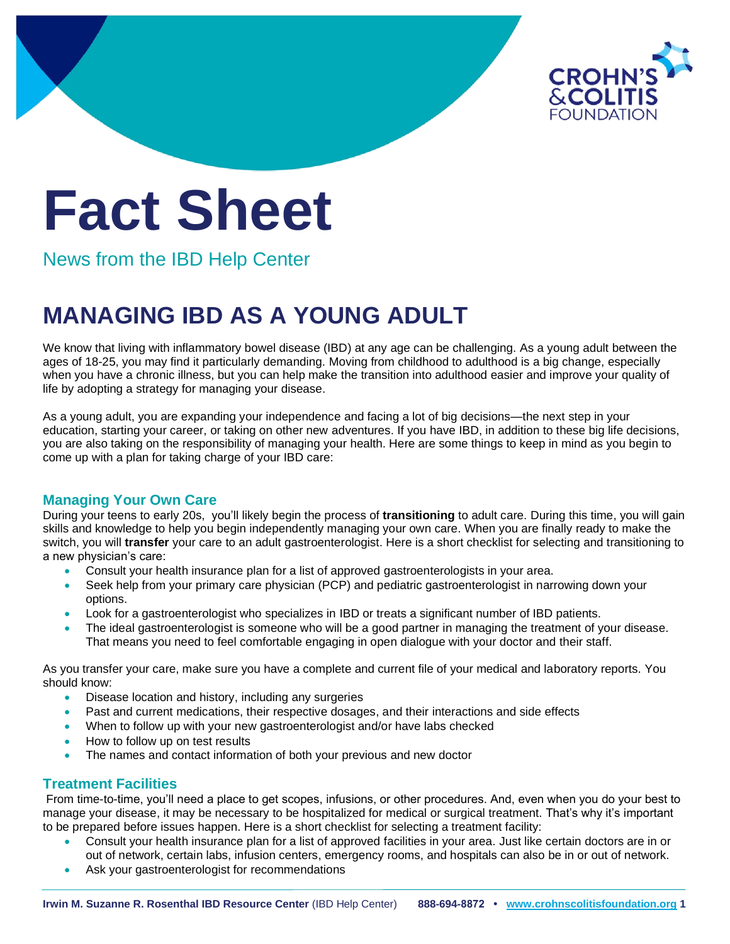

# **Fact Sheet**

News from the IBD Help Center

# **MANAGING IBD AS A YOUNG ADULT**

We know that living with inflammatory bowel disease (IBD) at any age can be challenging. As a young adult between the ages of 18-25, you may find it particularly demanding. Moving from childhood to adulthood is a big change, especially when you have a chronic illness, but you can help make the transition into adulthood easier and improve your quality of life by adopting a strategy for managing your disease.

As a young adult, you are expanding your independence and facing a lot of big decisions—the next step in your education, starting your career, or taking on other new adventures. If you have IBD, in addition to these big life decisions, you are also taking on the responsibility of managing your health. Here are some things to keep in mind as you begin to come up with a plan for taking charge of your IBD care:

# **Managing Your Own Care**

During your teens to early 20s, you'll likely begin the process of **transitioning** to adult care. During this time, you will gain skills and knowledge to help you begin independently managing your own care. When you are finally ready to make the switch, you will **transfer** your care to an adult gastroenterologist. Here is a short checklist for selecting and transitioning to a new physician's care:

- Consult your health insurance plan for a list of approved gastroenterologists in your area.
- Seek help from your primary care physician (PCP) and pediatric gastroenterologist in narrowing down your options.
- Look for a gastroenterologist who specializes in IBD or treats a significant number of IBD patients.
- The ideal gastroenterologist is someone who will be a good partner in managing the treatment of your disease. That means you need to feel comfortable engaging in open dialogue with your doctor and their staff.

As you transfer your care, make sure you have a complete and current file of your medical and laboratory reports. You should know:

- Disease location and history, including any surgeries
- Past and current medications, their respective dosages, and their interactions and side effects
- When to follow up with your new gastroenterologist and/or have labs checked
- How to follow up on test results
- The names and contact information of both your previous and new doctor

# **Treatment Facilities**

From time-to-time, you'll need a place to get scopes, infusions, or other procedures. And, even when you do your best to manage your disease, it may be necessary to be hospitalized for medical or surgical treatment. That's why it's important to be prepared before issues happen. Here is a short checklist for selecting a treatment facility:

- Consult your health insurance plan for a list of approved facilities in your area. Just like certain doctors are in or out of network, certain labs, infusion centers, emergency rooms, and hospitals can also be in or out of network.
- Ask your gastroenterologist for recommendations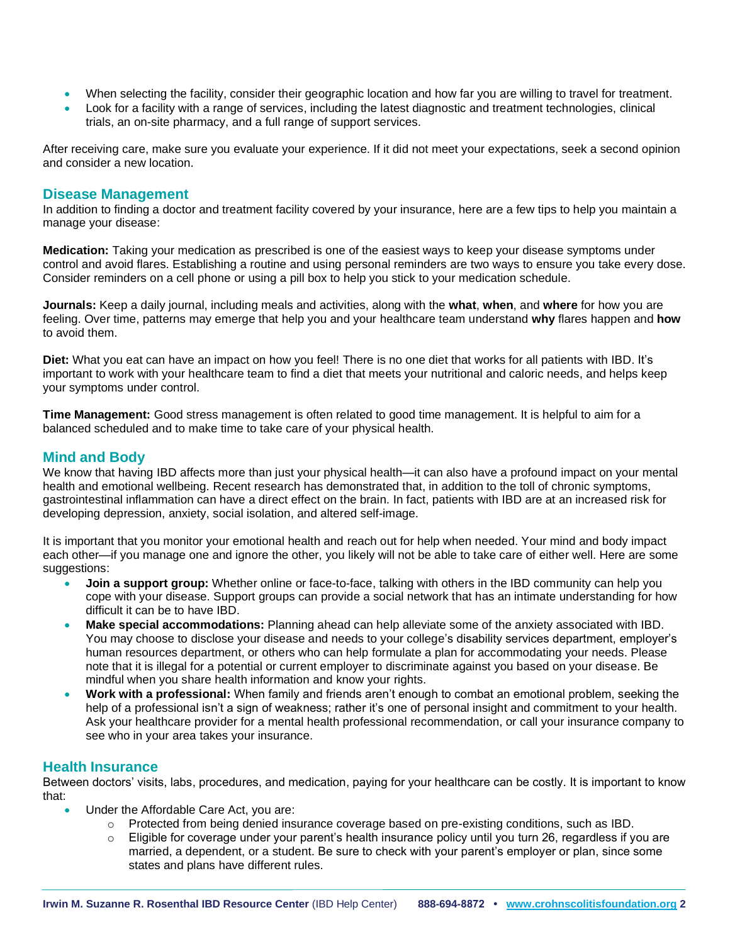- When selecting the facility, consider their geographic location and how far you are willing to travel for treatment.
- Look for a facility with a range of services, including the latest diagnostic and treatment technologies, clinical trials, an on-site pharmacy, and a full range of support services.

After receiving care, make sure you evaluate your experience. If it did not meet your expectations, seek a second opinion and consider a new location.

### **Disease Management**

In addition to finding a doctor and treatment facility covered by your insurance, here are a few tips to help you maintain a manage your disease:

**Medication:** Taking your medication as prescribed is one of the easiest ways to keep your disease symptoms under control and avoid flares. Establishing a routine and using personal reminders are two ways to ensure you take every dose. Consider reminders on a cell phone or using a pill box to help you stick to your medication schedule.

**Journals:** Keep a daily journal, including meals and activities, along with the **what**, **when**, and **where** for how you are feeling. Over time, patterns may emerge that help you and your healthcare team understand **why** flares happen and **how** to avoid them.

**Diet:** What you eat can have an impact on how you feel! There is no one diet that works for all patients with IBD. It's important to work with your healthcare team to find a diet that meets your nutritional and caloric needs, and helps keep your symptoms under control.

**Time Management:** Good stress management is often related to good time management. It is helpful to aim for a balanced scheduled and to make time to take care of your physical health.

# **Mind and Body**

We know that having IBD affects more than just your physical health—it can also have a profound impact on your mental health and emotional wellbeing. Recent research has demonstrated that, in addition to the toll of chronic symptoms, gastrointestinal inflammation can have a direct effect on the brain. In fact, patients with IBD are at an increased risk for developing depression, anxiety, social isolation, and altered self-image.

It is important that you monitor your emotional health and reach out for help when needed. Your mind and body impact each other—if you manage one and ignore the other, you likely will not be able to take care of either well. Here are some suggestions:

- **Join a support group:** Whether online or face-to-face, talking with others in the IBD community can help you cope with your disease. Support groups can provide a social network that has an intimate understanding for how difficult it can be to have IBD.
- **Make special accommodations:** Planning ahead can help alleviate some of the anxiety associated with IBD. You may choose to disclose your disease and needs to your college's disability services department, employer's human resources department, or others who can help formulate a plan for accommodating your needs. Please note that it is illegal for a potential or current employer to discriminate against you based on your disease. Be mindful when you share health information and know your rights.
- **Work with a professional:** When family and friends aren't enough to combat an emotional problem, seeking the help of a professional isn't a sign of weakness; rather it's one of personal insight and commitment to your health. Ask your healthcare provider for a mental health professional recommendation, or call your insurance company to see who in your area takes your insurance.

## **Health Insurance**

Between doctors' visits, labs, procedures, and medication, paying for your healthcare can be costly. It is important to know that:

- Under the Affordable Care Act, you are:
	- $\circ$  Protected from being denied insurance coverage based on pre-existing conditions, such as IBD.
	- $\circ$  Eligible for coverage under your parent's health insurance policy until you turn 26, regardless if you are married, a dependent, or a student. Be sure to check with your parent's employer or plan, since some states and plans have different rules.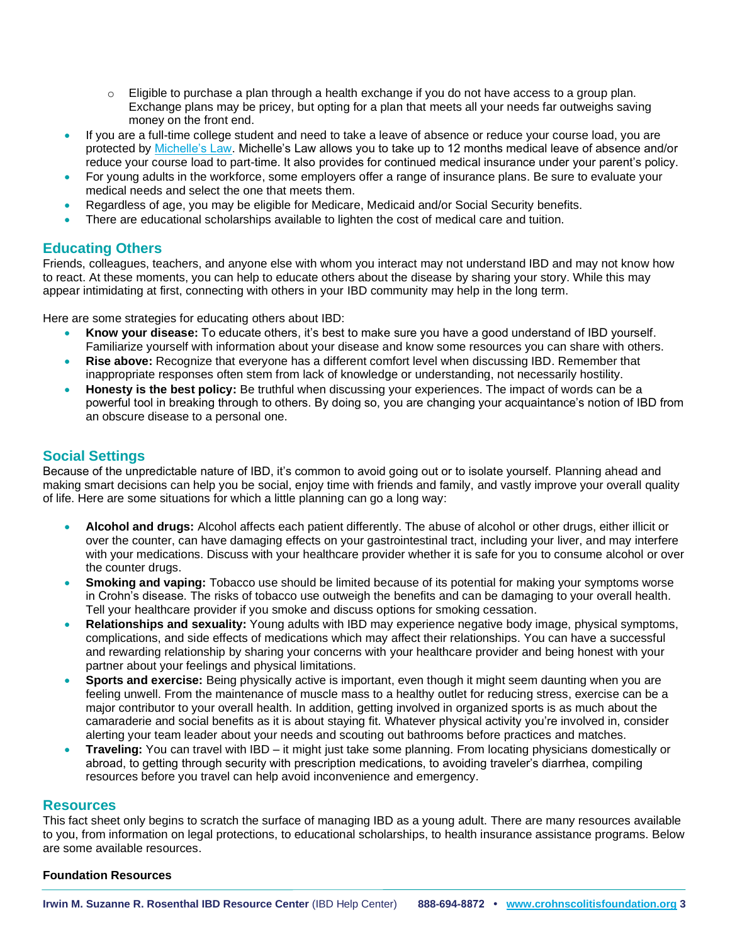- $\circ$  Eligible to purchase a plan through a health exchange if you do not have access to a group plan. Exchange plans may be pricey, but opting for a plan that meets all your needs far outweighs saving money on the front end.
- If you are a full-time college student and need to take a leave of absence or reduce your course load, you are protected by [Michelle's Law.](https://www.congress.gov/bill/110th-congress/house-bill/2851#:~:text=Michelle) Michelle's Law allows you to take up to 12 months medical leave of absence and/or reduce your course load to part-time. It also provides for continued medical insurance under your parent's policy.
- For young adults in the workforce, some employers offer a range of insurance plans. Be sure to evaluate your medical needs and select the one that meets them.
- Regardless of age, you may be eligible for Medicare, Medicaid and/or Social Security benefits.
- There are educational scholarships available to lighten the cost of medical care and tuition.

# **Educating Others**

Friends, colleagues, teachers, and anyone else with whom you interact may not understand IBD and may not know how to react. At these moments, you can help to educate others about the disease by sharing your story. While this may appear intimidating at first, connecting with others in your IBD community may help in the long term.

Here are some strategies for educating others about IBD:

- **Know your disease:** To educate others, it's best to make sure you have a good understand of IBD yourself. Familiarize yourself with information about your disease and know some resources you can share with others.
- **Rise above:** Recognize that everyone has a different comfort level when discussing IBD. Remember that inappropriate responses often stem from lack of knowledge or understanding, not necessarily hostility.
- **Honesty is the best policy:** Be truthful when discussing your experiences. The impact of words can be a powerful tool in breaking through to others. By doing so, you are changing your acquaintance's notion of IBD from an obscure disease to a personal one.

# **Social Settings**

Because of the unpredictable nature of IBD, it's common to avoid going out or to isolate yourself. Planning ahead and making smart decisions can help you be social, enjoy time with friends and family, and vastly improve your overall quality of life. Here are some situations for which a little planning can go a long way:

- **Alcohol and drugs:** Alcohol affects each patient differently. The abuse of alcohol or other drugs, either illicit or over the counter, can have damaging effects on your gastrointestinal tract, including your liver, and may interfere with your medications. Discuss with your healthcare provider whether it is safe for you to consume alcohol or over the counter drugs.
- **Smoking and vaping:** Tobacco use should be limited because of its potential for making your symptoms worse in Crohn's disease. The risks of tobacco use outweigh the benefits and can be damaging to your overall health. Tell your healthcare provider if you smoke and discuss options for smoking cessation.
- **Relationships and sexuality:** Young adults with IBD may experience negative body image, physical symptoms, complications, and side effects of medications which may affect their relationships. You can have a successful and rewarding relationship by sharing your concerns with your healthcare provider and being honest with your partner about your feelings and physical limitations.
- **Sports and exercise:** Being physically active is important, even though it might seem daunting when you are feeling unwell. From the maintenance of muscle mass to a healthy outlet for reducing stress, exercise can be a major contributor to your overall health. In addition, getting involved in organized sports is as much about the camaraderie and social benefits as it is about staying fit. Whatever physical activity you're involved in, consider alerting your team leader about your needs and scouting out bathrooms before practices and matches.
- **Traveling:** You can travel with IBD it might just take some planning. From locating physicians domestically or abroad, to getting through security with prescription medications, to avoiding traveler's diarrhea, compiling resources before you travel can help avoid inconvenience and emergency.

#### **Resources**

This fact sheet only begins to scratch the surface of managing IBD as a young adult. There are many resources available to you, from information on legal protections, to educational scholarships, to health insurance assistance programs. Below are some available resources.

#### **Foundation Resources**